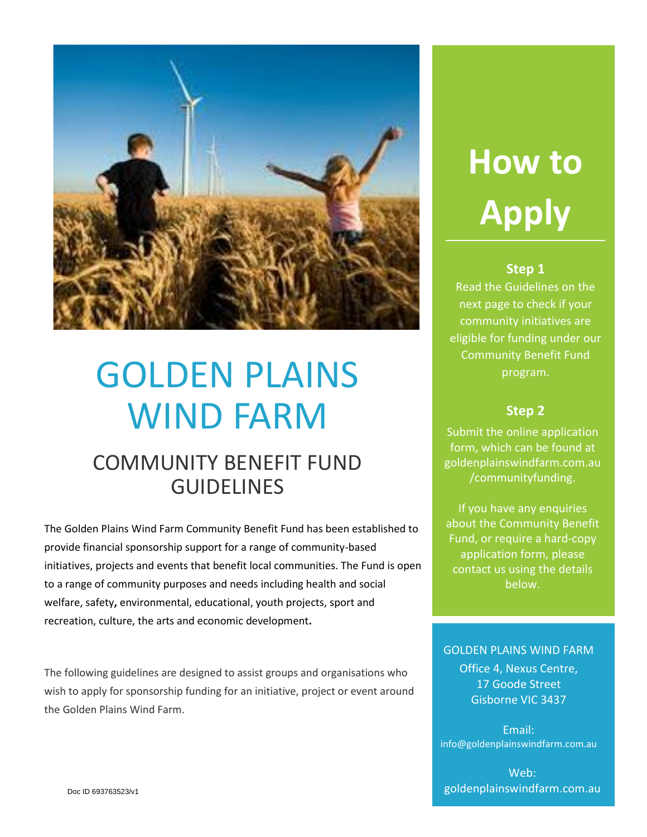

## GOLDEN PLAINS WIND FARM

## COMMUNITY BENEFIT FUND GUIDELINES

The Golden Plains Wind Farm Community Benefit Fund has been established to provide financial sponsorship support for a range of community-based initiatives, projects and events that benefit local communities. The Fund is open to a range of community purposes and needs including health and social welfare, safety**,** environmental, educational, youth projects, sport and recreation, culture, the arts and economic development**.**

The following guidelines are designed to assist groups and organisations who wish to apply for sponsorship funding for an initiative, project or event around the Golden Plains Wind Farm.

# **How to Apply**

## **Step 1**

Read the Guidelines on the next page to check if your community initiatives are eligible for funding under our Community Benefit Fund program.

### **Step 2**

Submit the online application form, which can be found at goldenplainswindfarm.com.au /communityfunding.

If you have any enquiries about the Community Benefit Fund, or require a hard-copy application form, please contact us using the details below.

#### GOLDEN PLAINS WIND FARM

Office 4, Nexus Centre, 17 Goode Street Gisborne VIC 3437

Email: info@goldenplainswindfarm.com.au

Web: goldenplainswindfarm.com.au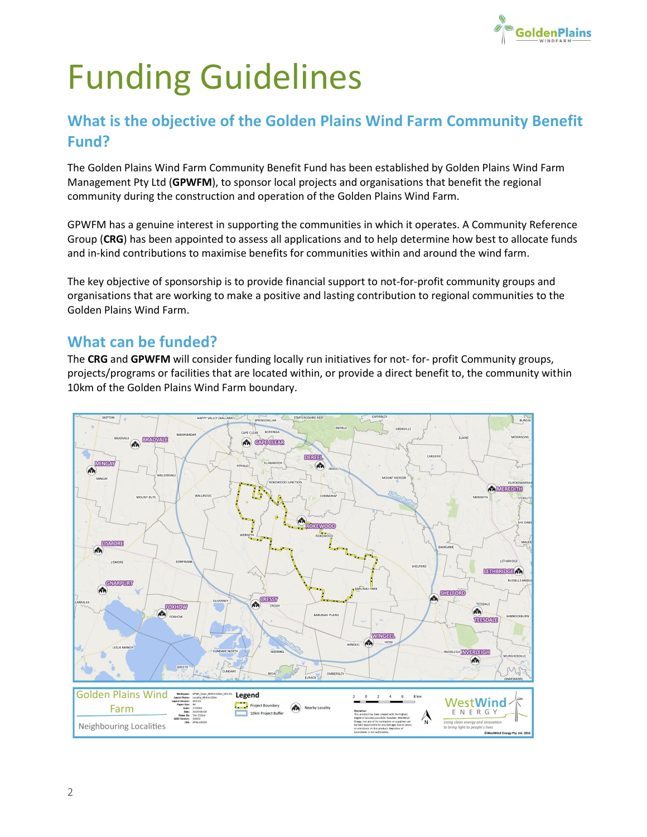

## Funding Guidelines

## **What is the objective of the Golden Plains Wind Farm Community Benefit Fund?**

The Golden Plains Wind Farm Community Benefit Fund has been established by Golden Plains Wind Farm Management Pty Ltd (**GPWFM**), to sponsor local projects and organisations that benefit the regional community during the construction and operation of the Golden Plains Wind Farm.

GPWFM has a genuine interest in supporting the communities in which it operates. A Community Reference Group (**CRG**) has been appointed to assess all applications and to help determine how best to allocate funds and in-kind contributions to maximise benefits for communities within and around the wind farm.

The key objective of sponsorship is to provide financial support to not-for-profit community groups and organisations that are working to make a positive and lasting contribution to regional communities to the Golden Plains Wind Farm.

## **What can be funded?**

The **CRG** and **GPWFM** will consider funding locally run initiatives for not- for- profit Community groups, projects/programs or facilities that are located within, or provide a direct benefit to, the community within 10km of the Golden Plains Wind Farm boundary.

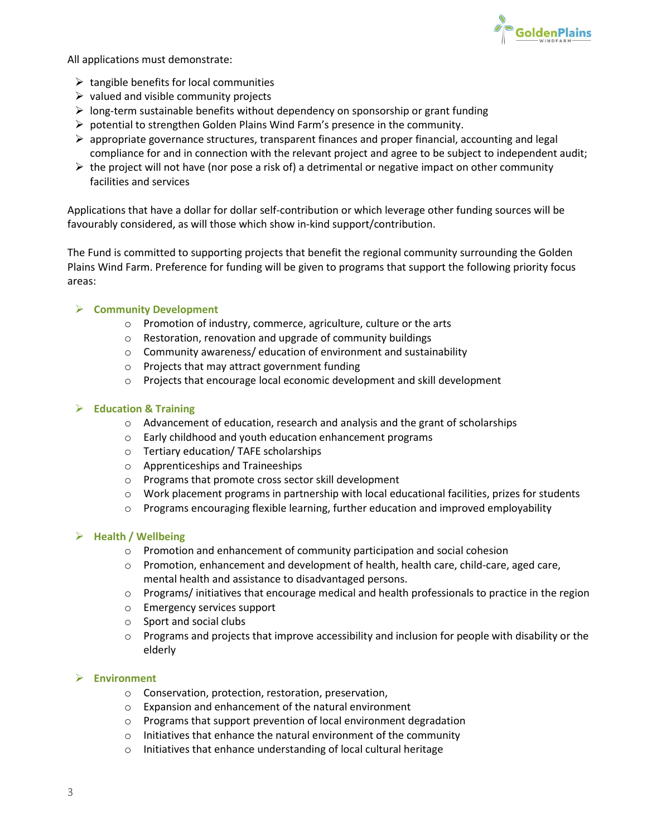

All applications must demonstrate:

- $\triangleright$  tangible benefits for local communities
- $\triangleright$  valued and visible community projects
- $\triangleright$  long-term sustainable benefits without dependency on sponsorship or grant funding
- $\triangleright$  potential to strengthen Golden Plains Wind Farm's presence in the community.
- $\triangleright$  appropriate governance structures, transparent finances and proper financial, accounting and legal compliance for and in connection with the relevant project and agree to be subject to independent audit;
- $\triangleright$  the project will not have (nor pose a risk of) a detrimental or negative impact on other community facilities and services

Applications that have a dollar for dollar self-contribution or which leverage other funding sources will be favourably considered, as will those which show in-kind support/contribution.

The Fund is committed to supporting projects that benefit the regional community surrounding the Golden Plains Wind Farm. Preference for funding will be given to programs that support the following priority focus areas:

#### ➢ **Community Development**

- o Promotion of industry, commerce, agriculture, culture or the arts
- o Restoration, renovation and upgrade of community buildings
- o Community awareness/ education of environment and sustainability
- o Projects that may attract government funding
- o Projects that encourage local economic development and skill development

#### ➢ **Education & Training**

- o Advancement of education, research and analysis and the grant of scholarships
- o Early childhood and youth education enhancement programs
- o Tertiary education/ TAFE scholarships
- o Apprenticeships and Traineeships
- o Programs that promote cross sector skill development
- $\circ$  Work placement programs in partnership with local educational facilities, prizes for students
- $\circ$  Programs encouraging flexible learning, further education and improved employability

#### ➢ **Health / Wellbeing**

- o Promotion and enhancement of community participation and social cohesion
- $\circ$  Promotion, enhancement and development of health, health care, child-care, aged care, mental health and assistance to disadvantaged persons.
- $\circ$  Programs/ initiatives that encourage medical and health professionals to practice in the region
- o Emergency services support
- o Sport and social clubs
- $\circ$  Programs and projects that improve accessibility and inclusion for people with disability or the elderly

#### ➢ **Environment**

- o Conservation, protection, restoration, preservation,
- o Expansion and enhancement of the natural environment
- o Programs that support prevention of local environment degradation
- o Initiatives that enhance the natural environment of the community
- o Initiatives that enhance understanding of local cultural heritage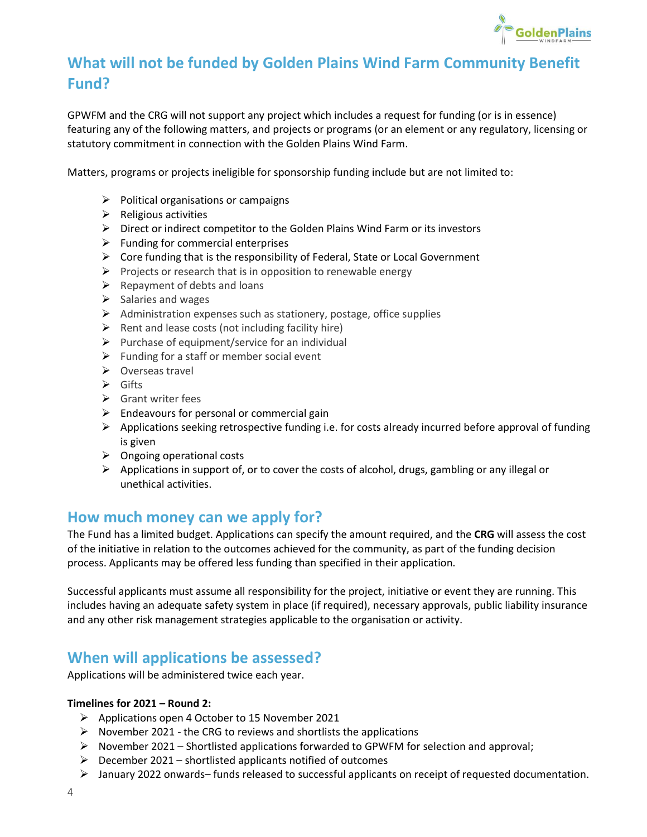

## **What will not be funded by Golden Plains Wind Farm Community Benefit Fund?**

GPWFM and the CRG will not support any project which includes a request for funding (or is in essence) featuring any of the following matters, and projects or programs (or an element or any regulatory, licensing or statutory commitment in connection with the Golden Plains Wind Farm.

Matters, programs or projects ineligible for sponsorship funding include but are not limited to:

- $\triangleright$  Political organisations or campaigns
- $\triangleright$  Religious activities
- $\triangleright$  Direct or indirect competitor to the Golden Plains Wind Farm or its investors
- $\triangleright$  Funding for commercial enterprises
- $\triangleright$  Core funding that is the responsibility of Federal, State or Local Government
- $\triangleright$  Projects or research that is in opposition to renewable energy
- $\triangleright$  Repayment of debts and loans
- $\triangleright$  Salaries and wages
- ➢ Administration expenses such as stationery, postage, office supplies
- $\triangleright$  Rent and lease costs (not including facility hire)
- $\triangleright$  Purchase of equipment/service for an individual
- $\triangleright$  Funding for a staff or member social event
- ➢ Overseas travel
- ➢ Gifts
- $\triangleright$  Grant writer fees
- $\triangleright$  Endeavours for personal or commercial gain
- $\triangleright$  Applications seeking retrospective funding i.e. for costs already incurred before approval of funding is given
- $\triangleright$  Ongoing operational costs
- ➢ Applications in support of, or to cover the costs of alcohol, drugs, gambling or any illegal or unethical activities.

## **How much money can we apply for?**

The Fund has a limited budget. Applications can specify the amount required, and the **CRG** will assess the cost of the initiative in relation to the outcomes achieved for the community, as part of the funding decision process. Applicants may be offered less funding than specified in their application.

Successful applicants must assume all responsibility for the project, initiative or event they are running. This includes having an adequate safety system in place (if required), necessary approvals, public liability insurance and any other risk management strategies applicable to the organisation or activity.

## **When will applications be assessed?**

Applications will be administered twice each year.

#### **Timelines for 2021 – Round 2:**

- ➢ Applications open 4 October to 15 November 2021
- $\triangleright$  November 2021 the CRG to reviews and shortlists the applications
- $\triangleright$  November 2021 Shortlisted applications forwarded to GPWFM for selection and approval;
- $\triangleright$  December 2021 shortlisted applicants notified of outcomes
- ➢ January 2022 onwards– funds released to successful applicants on receipt of requested documentation.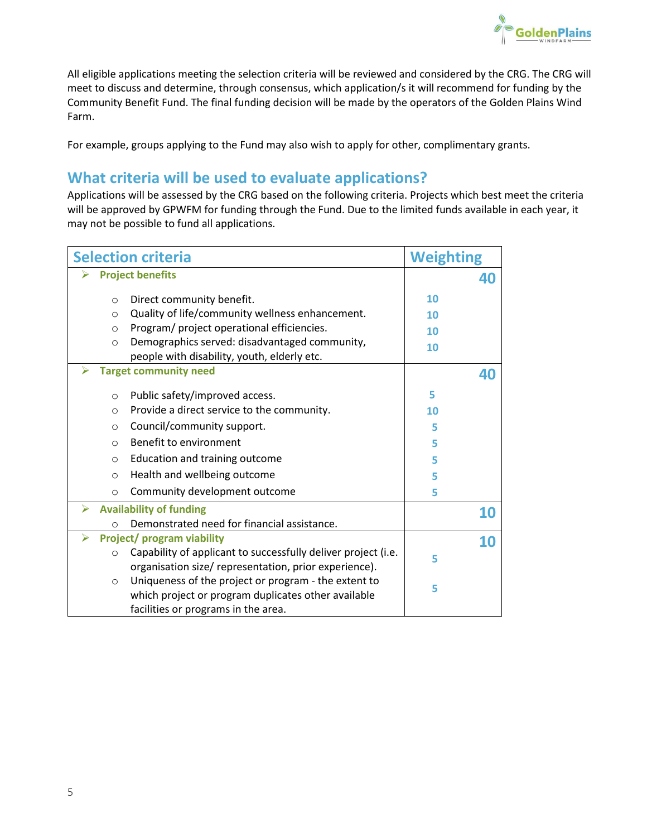

All eligible applications meeting the selection criteria will be reviewed and considered by the CRG. The CRG will meet to discuss and determine, through consensus, which application/s it will recommend for funding by the Community Benefit Fund. The final funding decision will be made by the operators of the Golden Plains Wind Farm.

For example, groups applying to the Fund may also wish to apply for other, complimentary grants.

## **What criteria will be used to evaluate applications?**

Applications will be assessed by the CRG based on the following criteria. Projects which best meet the criteria will be approved by GPWFM for funding through the Fund. Due to the limited funds available in each year, it may not be possible to fund all applications.

| <b>Selection criteria</b>             |                                                                          | <b>Weighting</b> |           |
|---------------------------------------|--------------------------------------------------------------------------|------------------|-----------|
| <b>Project benefits</b>               |                                                                          |                  | 40        |
|                                       | Direct community benefit.<br>$\circ$                                     | 10               |           |
|                                       | Quality of life/community wellness enhancement.<br>$\circ$               | 10               |           |
|                                       | Program/ project operational efficiencies.<br>$\circ$                    | 10               |           |
|                                       | Demographics served: disadvantaged community,<br>$\circ$                 | 10               |           |
|                                       | people with disability, youth, elderly etc.                              |                  |           |
| <b>Target community need</b>          |                                                                          |                  | 40        |
|                                       | Public safety/improved access.<br>$\circ$                                | 5                |           |
|                                       | Provide a direct service to the community.<br>$\circ$                    | 10               |           |
|                                       | Council/community support.<br>$\circ$                                    | 5                |           |
|                                       | Benefit to environment<br>$\Omega$                                       | 5                |           |
|                                       | Education and training outcome<br>$\circ$                                | 5                |           |
|                                       | Health and wellbeing outcome<br>$\circ$                                  | 5                |           |
|                                       | Community development outcome<br>$\circ$                                 | 5                |           |
| <b>Availability of funding</b><br>↘   |                                                                          |                  | <b>10</b> |
|                                       | Demonstrated need for financial assistance.<br>$\Omega$                  |                  |           |
| <b>Project/program viability</b><br>⋗ |                                                                          |                  | 10        |
|                                       | Capability of applicant to successfully deliver project (i.e.<br>$\circ$ | 5                |           |
|                                       | organisation size/ representation, prior experience).                    |                  |           |
|                                       | Uniqueness of the project or program - the extent to<br>$\circ$          | 5                |           |
|                                       | which project or program duplicates other available                      |                  |           |
|                                       | facilities or programs in the area.                                      |                  |           |